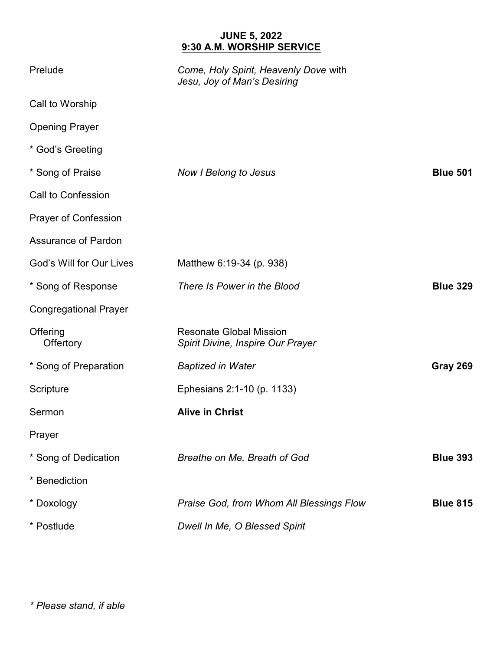## **JUNE 5, 2022 9:30 A.M. WORSHIP SERVICE**

| Prelude                      | Come, Holy Spirit, Heavenly Dove with<br>Jesu, Joy of Man's Desiring |                 |
|------------------------------|----------------------------------------------------------------------|-----------------|
| Call to Worship              |                                                                      |                 |
| <b>Opening Prayer</b>        |                                                                      |                 |
| * God's Greeting             |                                                                      |                 |
| * Song of Praise             | <b>Now I Belong to Jesus</b>                                         | <b>Blue 501</b> |
| Call to Confession           |                                                                      |                 |
| <b>Prayer of Confession</b>  |                                                                      |                 |
| <b>Assurance of Pardon</b>   |                                                                      |                 |
| God's Will for Our Lives     | Matthew 6:19-34 (p. 938)                                             |                 |
| * Song of Response           | There Is Power in the Blood                                          | <b>Blue 329</b> |
| <b>Congregational Prayer</b> |                                                                      |                 |
| Offering<br>Offertory        | <b>Resonate Global Mission</b><br>Spirit Divine, Inspire Our Prayer  |                 |
| * Song of Preparation        | <b>Baptized in Water</b>                                             | Gray 269        |
| Scripture                    | Ephesians 2:1-10 (p. 1133)                                           |                 |
| Sermon                       | <b>Alive in Christ</b>                                               |                 |
| Prayer                       |                                                                      |                 |
| * Song of Dedication         | Breathe on Me, Breath of God                                         | <b>Blue 393</b> |
| * Benediction                |                                                                      |                 |
| * Doxology                   | Praise God, from Whom All Blessings Flow                             | <b>Blue 815</b> |
| * Postlude                   | Dwell In Me, O Blessed Spirit                                        |                 |